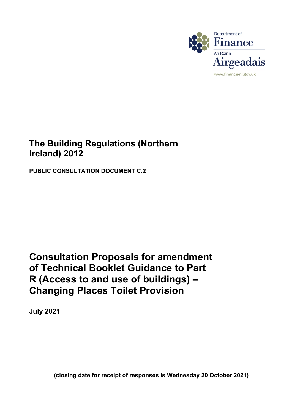

# **The Building Regulations (Northern Ireland) 2012**

 **PUBLIC CONSULTATION DOCUMENT C.2** 

# **Consultation Proposals for amendment of Technical Booklet Guidance to Part Changing Places Toilet Provision R (Access to and use of buildings) –**

**July 2021** 

 **(closing date for receipt of responses is Wednesday 20 October 2021)**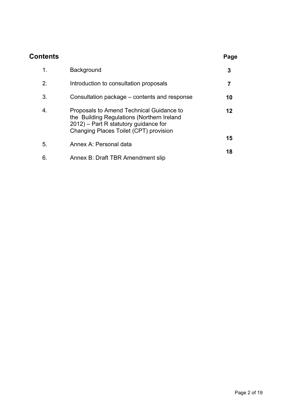| Contents |                                                                                                                                                                              | Page |
|----------|------------------------------------------------------------------------------------------------------------------------------------------------------------------------------|------|
| 1.       | <b>Background</b>                                                                                                                                                            | 3    |
| 2.       | Introduction to consultation proposals                                                                                                                                       | 7    |
| 3.       | Consultation package – contents and response                                                                                                                                 | 10   |
| 4.       | Proposals to Amend Technical Guidance to<br>the Building Regulations (Northern Ireland<br>$2012$ ) – Part R statutory guidance for<br>Changing Places Toilet (CPT) provision | 12   |
| 5.       | Annex A: Personal data                                                                                                                                                       | 15   |
| 6.       | Annex B: Draft TBR Amendment slip                                                                                                                                            | 18   |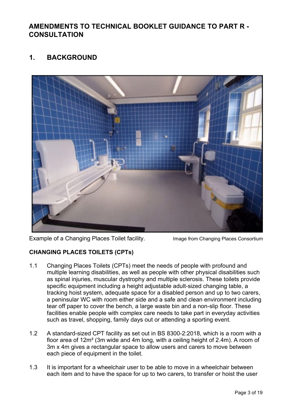# **AMENDMENTS TO TECHNICAL BOOKLET GUIDANCE TO PART R - CONSULTATION**

# **1. BACKGROUND**



Example of a Changing Places Toilet facility. Image from Changing Places Consortium

## **CHANGING PLACES TOILETS (CPTs)**

- 1.1 Changing Places Toilets (CPTs) meet the needs of people with profound and multiple learning disabilities, as well as people with other physical disabilities such as spinal injuries, muscular dystrophy and multiple sclerosis. These toilets provide specific equipment including a height adjustable adult-sized changing table, a tracking hoist system, adequate space for a disabled person and up to two carers, a peninsular WC with room either side and a safe and clean environment including tear off paper to cover the bench, a large waste bin and a non-slip floor. These facilities enable people with complex care needs to take part in everyday activities such as travel, shopping, family days out or attending a sporting event.
- 1.2 A standard-sized CPT facility as set out in BS 8300-2:2018, which is a room with a floor area of 12m² (3m wide and 4m long, with a ceiling height of 2.4m). A room of 3m x 4m gives a rectangular space to allow users and carers to move between each piece of equipment in the toilet.
- 1.3 It is important for a wheelchair user to be able to move in a wheelchair between each item and to have the space for up to two carers, to transfer or hoist the user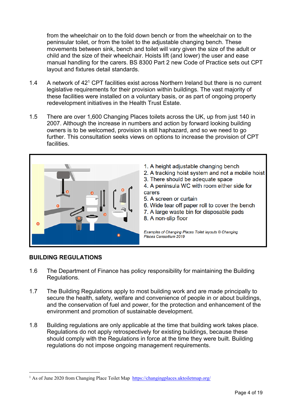from the wheelchair on to the fold down bench or from the wheelchair on to the peninsular toilet, or from the toilet to the adjustable changing bench. These movements between sink, bench and toilet will vary given the size of the adult or child and the size of their wheelchair. Hoists lift (and lower) the user and ease manual handling for the carers. BS 8300 Part 2 new Code of Practice sets out CPT layout and fixtures detail standards.

- 1.4 A network of 42[1](#page-3-0) CPT facilities exist across Northern Ireland but there is no current legislative requirements for their provision within buildings. The vast majority of these facilities were installed on a voluntary basis, or as part of ongoing property redevelopment initiatives in the Health Trust Estate.
- 1.5 There are over 1,600 Changing Places toilets across the UK, up from just 140 in 2007. Although the increase in numbers and action by forward looking building owners is to be welcomed, provision is still haphazard, and so we need to go further. This consultation seeks views on options to increase the provision of CPT **facilities**



### **BUILDING REGULATIONS**

 $\overline{a}$ 

- 1.6 The Department of Finance has policy responsibility for maintaining the Building Regulations.
- 1.7 The Building Regulations apply to most building work and are made principally to secure the health, safety, welfare and convenience of people in or about buildings, and the conservation of fuel and power, for the protection and enhancement of the environment and promotion of sustainable development.
- $1.8$ Building regulations are only applicable at the time that building work takes place. Regulations do not apply retrospectively for existing buildings, because these should comply with the Regulations in force at the time they were built. Building regulations do not impose ongoing management requirements.

<span id="page-3-0"></span><sup>&</sup>lt;sup>1</sup> As of June 2020 from Changing Place Toilet Map <https://changingplaces.uktoiletmap.org>/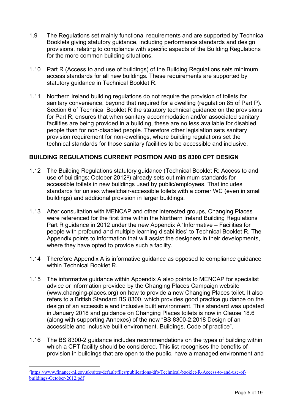- 1.9 The Regulations set mainly functional requirements and are supported by Technical Booklets giving statutory guidance, including performance standards and design provisions, relating to compliance with specific aspects of the Building Regulations for the more common building situations.
- statutory guidance in Technical Booklet R. 1.10 Part R (Access to and use of buildings) of the Building Regulations sets minimum access standards for all new buildings. These requirements are supported by
- $1.11$  technical standards for those sanitary facilities to be accessible and inclusive. Northern Ireland building regulations do not reguire the provision of toilets for sanitary convenience, beyond that required for a dwelling (regulation 85 of Part P). Section 6 of Technical Booklet R the statutory technical guidance on the provisions for Part R, ensures that when sanitary accommodation and/or associated sanitary facilities are being provided in a building, these are no less available for disabled people than for non-disabled people. Therefore other legislation sets sanitary provision requirement for non-dwellings, where building regulations set the

#### **BUILDING REGULATIONS CURRENT POSITION AND BS 8300 CPT DESIGN**

- accessible toilets in new buildings used by public/employees. That includes 1.12 The Building Regulations statutory guidance (Technical Booklet R: Access to and use of buildings: October [2](#page-4-0)012<sup>2</sup>) already sets out minimum standards for standards for unisex wheelchair-accessible toilets with a corner WC (even in small buildings) and additional provision in larger buildings.
- were referenced for the first time within the Northern Ireland Building Regulations Appendix points to information that will assist the designers in their developments, 1.13 After consultation with MENCAP and other interested groups, Changing Places Part R guidance in 2012 under the new Appendix A 'Informative – Facilities for people with profound and multiple learning disabilities' to Technical Booklet R. The where they have opted to provide such a facility.
- within Technical Booklet R. 1.14 Therefore Appendix A is informative guidance as opposed to compliance guidance
- in January 2018 and guidance on Changing Places toilets is now in Clause 18.6 (along with supporting Annexes) of the new "BS 8300-2:2018 Design of an 1.15 The informative guidance within Appendix A also points to MENCAP for specialist advice or information provided by the Changing Places Campaign website ([www.changing-places.org\)](www.changing-places.org) on how to provide a new Changing Places toilet. It also refers to a British Standard BS 8300, which provides good practice guidance on the design of an accessible and inclusive built environment. This standard was updated accessible and inclusive built environment. Buildings. Code of practice".
- 1.16 The BS 8300-2 guidance includes recommendations on the types of building within which a CPT facility should be considered. This list recognises the benefits of provision in buildings that are open to the public, have a managed environment and

 $\overline{a}$ 

<span id="page-4-0"></span> [buildings-October-2012.pdf](https://www.finance-ni.gov.uk/sites/default/files/publications/dfp/Technical-booklet-R-Access-to-and-use-of-buildings-October-2012.pdf) <sup>2</sup>[https://www.finance-ni.gov.uk/sites/default/files/publications/dfp/Technical-booklet-R-Access-to-and-use-of-](https://www.finance-ni.gov.uk/sites/default/files/publications/dfp/Technical-booklet-R-Access-to-and-use-of-buildings-October-2012.pdf)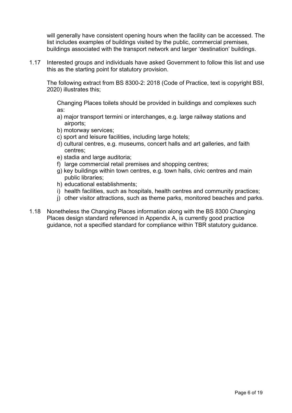will generally have consistent opening hours when the facility can be accessed. The list includes examples of buildings visited by the public, commercial premises, buildings associated with the transport network and larger 'destination' buildings.

1.17 Interested groups and individuals have asked Government to follow this list and use this as the starting point for statutory provision.

The following extract from BS 8300-2: 2018 (Code of Practice, text is copyright BSI, 2020) illustrates this;

Changing Places toilets should be provided in buildings and complexes such as:

- a) major transport termini or interchanges, e.g. large railway stations and airports;
- b) motorway services;
- c) sport and leisure facilities, including large hotels;
- d) cultural centres, e.g. museums, concert halls and art galleries, and faith centres;
- e) stadia and large auditoria;
- f) large commercial retail premises and shopping centres;
- g) key buildings within town centres, e.g. town halls, civic centres and main public libraries;
- h) educational establishments;
- i) health facilities, such as hospitals, health centres and community practices;
- j) other visitor attractions, such as theme parks, monitored beaches and parks.
- guidance, not a specified standard for compliance within TBR statutory guidance. 1.18 Nonetheless the Changing Places information along with the BS 8300 Changing Places design standard referenced in Appendix A, is currently good practice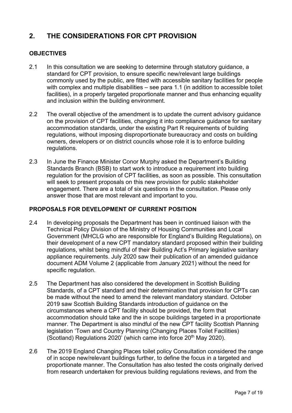# **2. THE CONSIDERATIONS FOR CPT PROVISION**

### **OBJECTIVES**

- $2.1$ In this consultation we are seeking to determine through statutory guidance, a standard for CPT provision, to ensure specific new/relevant large buildings commonly used by the public, are fitted with accessible sanitary facilities for people with complex and multiple disabilities – see para 1.1 (in addition to accessible toilet facilities), in a properly targeted proportionate manner and thus enhancing equality and inclusion within the building environment.
- on the provision of CPT facilities, changing it into compliance guidance for sanitary requlations. 2.2 The overall objective of the amendment is to update the current advisory guidance accommodation standards, under the existing Part R requirements of building regulations, without imposing disproportionate bureaucracy and costs on building owners, developers or on district councils whose role it is to enforce building
- 2.3 In June the Finance Minister Conor Murphy asked the Department's Building Standards Branch (BSB) to start work to introduce a requirement into building regulation for the provision of CPT facilities, as soon as possible. This consultation will seek to present proposals on this new provision for public stakeholder engagement. There are a total of six questions in the consultation. Please only answer those that are most relevant and important to you.

#### **PROPOSALS FOR DEVELOPMENT OF CURRENT POSITION**

- 2.4 In developing proposals the Department has been in continued liaison with the Technical Policy Division of the Ministry of Housing Communities and Local Government (MHCLG who are responsible for England's Building Regulations), on their development of a new CPT mandatory standard proposed within their building regulations, whilst being mindful of their Building Act's Primary legislative sanitary appliance requirements. July 2020 saw their publication of an amended guidance document ADM Volume 2 (applicable from January 2021) without the need for specific regulation.
- circumstances where a CPT facility should be provided, the form that 2.5 The Department has also considered the development in Scottish Building Standards, of a CPT standard and their determination that provision for CPTs can be made without the need to amend the relevant mandatory standard. October 2019 saw Scottish Building Standards introduction of guidance on the accommodation should take and the in scope buildings targeted in a proportionate manner. The Department is also mindful of the new CPT facility Scottish Planning legislation 'Town and Country Planning (Changing Places Toilet Facilities) (Scotland) Regulations 2020' (which came into force  $20<sup>th</sup>$  May 2020).
- 2.6 The 2019 England Changing Places toilet policy Consultation considered the range of in scope new/relevant buildings further, to define the focus in a targeted and proportionate manner. The Consultation has also tested the costs originally derived from research undertaken for previous building regulations reviews, and from the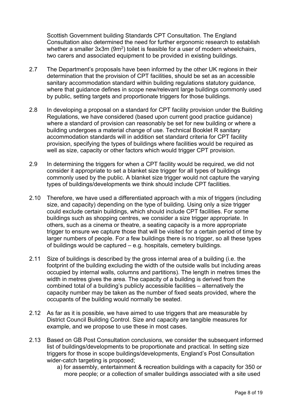Scottish Government building Standards CPT Consultation. The England Consultation also determined the need for further ergonomic research to establish whether a smaller 3x3m (9m<sup>2</sup>) toilet is feasible for a user of modern wheelchairs, two carers and associated equipment to be provided in existing buildings.

- 2.7 The Department's proposals have been informed by the other UK regions in their where that guidance defines in scope new/relevant large buildings commonly used by public, setting targets and proportionate triggers for those buildings. determination that the provision of CPT facilities, should be set as an accessible sanitary accommodation standard within building regulations statutory guidance,
- building undergoes a material change of use. Technical Booklet R sanitary accommodation standards will in addition set standard criteria for CPT facility 2.8 In developing a proposal on a standard for CPT facility provision under the Building Regulations, we have considered (based upon current good practice guidance) where a standard of provision can reasonably be set for new building or where a provision, specifying the types of buildings where facilities would be required as well as size, capacity or other factors which would trigger CPT provision.
- 2.9 In determining the triggers for when a CPT facility would be required, we did not consider it appropriate to set a blanket size trigger for all types of buildings commonly used by the public. A blanket size trigger would not capture the varying types of buildings/developments we think should include CPT facilities.
- of buildings would be captured e.g. hospitals, cemetery buildings. 2.10 Therefore, we have used a differentiated approach with a mix of triggers (including size, and capacity) depending on the type of building. Using only a size trigger could exclude certain buildings, which should include CPT facilities. For some buildings such as shopping centres, we consider a size trigger appropriate. In others, such as a cinema or theatre, a seating capacity is a more appropriate trigger to ensure we capture those that will be visited for a certain period of time by larger numbers of people. For a few buildings there is no trigger, so all these types
- 2.11 Size of buildings is described by the gross internal area of a building (i.e. the footprint of the building excluding the width of the outside walls but including areas occupied by internal walls, columns and partitions). The length in metres times the width in metres gives the area. The capacity of a building is derived from the combined total of a building's publicly accessible facilities – alternatively the capacity number may be taken as the number of fixed seats provided, where the occupants of the building would normally be seated.
- 2.12 As far as it is possible, we have aimed to use triggers that are measurable by District Council Building Control. Size and capacity are tangible measures for example, and we propose to use these in most cases.
- triggers for those in scope buildings/developments, England's Post Consultation 2.13 Based on GB Post Consultation conclusions, we consider the subsequent informed list of buildings/developments to be proportionate and practical. In setting size wider-catch targeting is proposed:
	- a) for assembly, entertainment & recreation buildings with a capacity for 350 or more people; or a collection of smaller buildings associated with a site used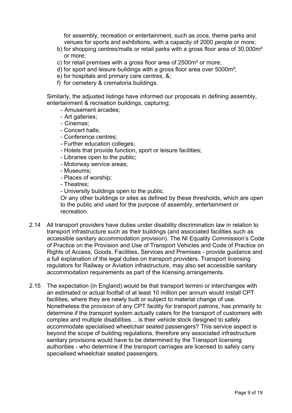venues for sports and exhibitions, with a capacity of 2000 people or more; for assembly, recreation or entertainment, such as zoos, theme parks and

- b) for shopping centres/malls or retail parks with a gross floor area of 30,000m² or more;
- c) for retail premises with a gross floor area of 2500m² or more;
- d) for sport and leisure buildings with a gross floor area over 5000m²;
- e) for hospitals and primary care centres, &;
- f) for cemetery & crematoria buildings.

 Similarly, the adjusted listings have informed our proposals in defining assembly, entertainment & recreation buildings, capturing;

- Amusement arcades;
- Art galleries;
- Cinemas;
- Concert halls;
- Conference centres;
- Further education colleges;
- Hotels that provide function, sport or leisure facilities;
- Libraries open to the public;
- Motorway service areas;
- Museums;
- Places of worship;
- Theatres;

- University buildings open to the public.

Or any other buildings or sites as defined by these thresholds, which are open to the public and used for the purpose of assembly, entertainment or recreation.

- Rights of Access, Goods, Facilities, Services and Premises provide guidance and 2.14 All transport providers have duties under disability discrimination law in relation to transport infrastructure such as their buildings (and associated facilities such as accessible sanitary accommodation provision). The NI Equality Commission's Code of Practice on the Provision and Use of Transport Vehicles and Code of Practice on a full explanation of the legal duties on transport providers. Transport licensing regulators for Railway or Aviation infrastructure, may also set accessible sanitary accommodation requirements as part of the licensing arrangements.
- $2.15$  beyond the scope of building regulations, therefore any associated infrastructure authorities - who determine if the transport carriages are licensed to safely carry specialised wheelchair seated passengers. The expectation (in England) would be that transport termini or interchanges with an estimated or actual footfall of at least 10 million per annum would install CPT facilities, where they are newly built or subject to material change of use. Nonetheless the provision of any CPT facility for transport patrons, has primarily to determine if the transport system actually caters for the transport of customers with complex and multiple disabilities… is their vehicle stock designed to safely accommodate specialised wheelchair seated passengers? This service aspect is sanitary provisions would have to be determined by the Transport licensing specialised wheelchair seated passengers.<br>Page 9 of 19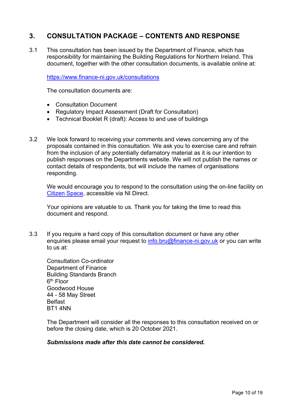# **3. CONSULTATION PACKAGE – CONTENTS AND RESPONSE**

3.1 This consultation has been issued by the Department of Finance, which has responsibility for maintaining the Building Regulations for Northern Ireland. This document, together with the other consultation documents, is available online at:

<https://www.finance-ni.gov.uk/consultations>

The consultation documents are:

- Consultation Document
- Regulatory Impact Assessment (Draft for Consultation)
- Technical Booklet R (draft): Access to and use of buildings
- • Technical Booklet R (draft): Access to and use of buildings 3.2 We look forward to receiving your comments and views concerning any of the proposals contained in this consultation. We ask you to exercise care and refrain from the inclusion of any potentially defamatory material as it is our intention to publish responses on the Departments website. We will not publish the names or contact details of respondents, but will include the names of organisations responding.

Citizen Space, accessible via NI Direct. We would encourage you to respond to the consultation using the on-line facility on

Your opinions are valuable to us. Thank you for taking the time to read this document and respond.

3.3 If you require a hard copy of this consultation document or have any other enquiries please email your request t[o info.bru@finance-ni.gov.uk](mailto:info.bru@finance-ni.gov.uk) or you can write to us at:

6<sup>th</sup> Floor Consultation Co-ordinator Department of Finance Building Standards Branch Goodwood House 44 - 58 May Street Belfast BT1 4NN

The Department will consider all the responses to this consultation received on or before the closing date, which is 20 October 2021.

#### *Submissions made after this date cannot be considered.*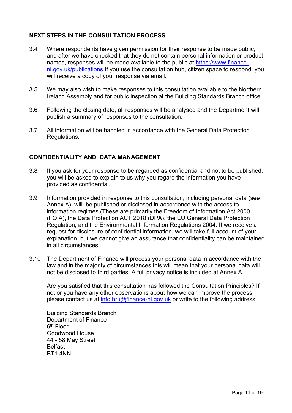## **NEXT STEPS IN THE CONSULTATION PROCESS**

- and after we have checked that they do not contain personal information or product 3.4 Where respondents have given permission for their response to be made public, names, responses will be made available to the public at [https://www.finance](https://www.finance-ni.gov.uk/publications)[ni.gov.uk/publications](https://www.finance-ni.gov.uk/publications) If you use the consultation hub, citizen space to respond, you will receive a copy of your response via email.
- Ireland Assembly and for public inspection at the Building Standards Branch office. 3.5 We may also wish to make responses to this consultation available to the Northern
- 3.6 Following the closing date, all responses will be analysed and the Department will publish a summary of responses to the consultation.
- 3.7 All information will be handled in accordance with the General Data Protection Regulations.

### **CONFIDENTIALITY AND DATA MANAGEMENT**

- you will be asked to explain to us why you regard the information you have 3.8 If you ask for your response to be regarded as confidential and not to be published, provided as confidential.
- 3.9 Information provided in response to this consultation, including personal data (see Annex A), will be published or disclosed in accordance with the access to information regimes (These are primarily the Freedom of Information Act 2000 (FOIA), the Data Protection ACT 2018 (DPA), the EU General Data Protection Regulation, and the Environmental Information Regulations 2004. If we receive a request for disclosure of confidential information, we will take full account of your explanation, but we cannot give an assurance that confidentiality can be maintained in all circumstances.
- 3.10 The Department of Finance will process your personal data in accordance with the law and in the majority of circumstances this will mean that your personal data will not be disclosed to third parties. A full privacy notice is included at Annex A.

Are you satisfied that this consultation has followed the Consultation Principles? If not or you have any other observations about how we can improve the process please contact us at [info.bru@finance-ni.gov.uk](mailto:info.bru@finance-ni.gov.uk) or write to the following address:

6<sup>th</sup> Floor 44 - 58 May Street Building Standards Branch Department of Finance Goodwood House Belfast BT1 4NN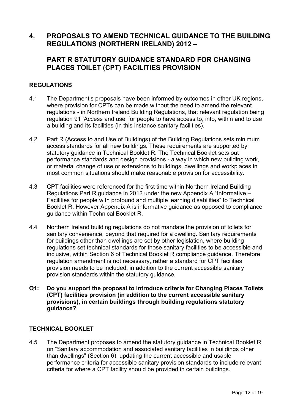# **REGULATIONS (NORTHERN IRELAND) 2012 – 4. PROPOSALS TO AMEND TECHNICAL GUIDANCE TO THE BUILDING**

## **PART R STATUTORY GUIDANCE STANDARD FOR CHANGING PLACES TOILET (CPT) FACILITIES PROVISION**

### **REGULATIONS**

- regulations in Northern Ireland Building Regulations, that relevant regulation being a building and its facilities (in this instance sanitary facilities). 4.1 The Department's proposals have been informed by outcomes in other UK regions, where provision for CPTs can be made without the need to amend the relevant regulation 91 'Access and use' for people to have access to, into, within and to use
- 4.2 Part R (Access to and Use of Buildings) of the Building Regulations sets minimum access standards for all new buildings. These requirements are supported by statutory guidance in Technical Booklet R. The Technical Booklet sets out performance standards and design provisions - a way in which new building work, or material change of use or extensions to buildings, dwellings and workplaces in most common situations should make reasonable provision for accessibility.
- quidance within Technical Booklet R. 4.3 CPT facilities were referenced for the first time within Northern Ireland Building Regulations Part R guidance in 2012 under the new Appendix A "Informative – Facilities for people with profound and multiple learning disabilities" to Technical Booklet R. However Appendix A is informative guidance as opposed to compliance
- inclusive, within Section 6 of Technical Booklet R compliance guidance. Therefore provision standards within the statutory guidance. 4.4 Northern Ireland building regulations do not mandate the provision of toilets for sanitary convenience, beyond that required for a dwelling. Sanitary requirements for buildings other than dwellings are set by other legislation, where building regulations set technical standards for those sanitary facilities to be accessible and regulation amendment is not necessary, rather a standard for CPT facilities provision needs to be included, in addition to the current accessible sanitary
- **Q1: Do you support the proposal to introduce criteria for Changing Places Toilets (CPT) facilities provision (in addition to the current accessible sanitary provisions), in certain buildings through building regulations statutory guidance?**

#### **TECHNICAL BOOKLET**

4.5 The Department proposes to amend the statutory guidance in Technical Booklet R on "Sanitary accommodation and associated sanitary facilities in buildings other than dwellings" (Section 6), updating the current accessible and usable performance criteria for accessible sanitary provision standards to include relevant criteria for where a CPT facility should be provided in certain buildings.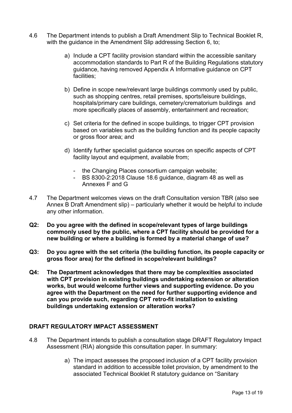- 4.6 The Department intends to publish a Draft Amendment Slip to Technical Booklet R, with the quidance in the Amendment Slip addressing Section 6, to:
	- a) Include a CPT facility provision standard within the accessible sanitary accommodation standards to Part R of the Building Regulations statutory guidance, having removed Appendix A Informative guidance on CPT facilities;
	- b) Define in scope new/relevant large buildings commonly used by public, such as shopping centres, retail premises, sports/leisure buildings, hospitals/primary care buildings, cemetery/crematorium buildings and more specifically places of assembly, entertainment and recreation;
	- c) Set criteria for the defined in scope buildings, to trigger CPT provision based on variables such as the building function and its people capacity or gross floor area; and
	- d) Identify further specialist guidance sources on specific aspects of CPT facility layout and equipment, available from;
		- the Changing Places consortium campaign website;
		- BS 8300-2:2018 Clause 18.6 guidance, diagram 48 as well as Annexes F and G
- Annex B Draft Amendment slip) particularly whether it would be helpful to include 4.7 The Department welcomes views on the draft Consultation version TBR (also see any other information.
- **Q2: Do you agree with the defined in scope/relevant types of large buildings commonly used by the public, where a CPT facility should be provided for a new building or where a building is formed by a material change of use?**
- **Q3: Do you agree with the set criteria (the building function, its people capacity or gross floor area) for the defined in scope/relevant buildings?**
- **Q4: The Department acknowledges that there may be complexities associated with CPT provision in existing buildings undertaking extension or alteration works, but would welcome further views and supporting evidence. Do you agree with the Department on the need for further supporting evidence and can you provide such, regarding CPT retro-fit installation to existing buildings undertaking extension or alteration works?**

#### **DRAFT REGULATORY IMPACT ASSESSMENT**

- 4.8 The Department intends to publish a consultation stage DRAFT Regulatory Impact Assessment (RIA) alongside this consultation paper. In summary:
	- standard in addition to accessible toilet provision, by amendment to the a) The impact assesses the proposed inclusion of a CPT facility provision associated Technical Booklet R statutory guidance on "Sanitary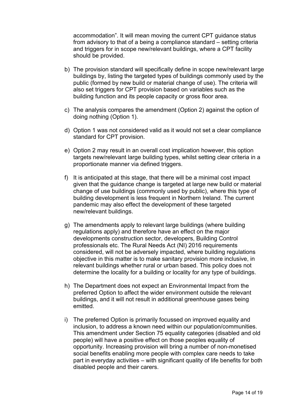from advisory to that of a being a compliance standard – setting criteria accommodation". It will mean moving the current CPT guidance status and triggers for in scope new/relevant buildings, where a CPT facility should be provided.

- buildings by, listing the targeted types of buildings commonly used by the also set triggers for CPT provision based on variables such as the b) The provision standard will specifically define in scope new/relevant large public (formed by new build or material change of use). The criteria will building function and its people capacity or gross floor area.
- c) The analysis compares the amendment (Option 2) against the option of doing nothing (Option 1).
- d) Option 1 was not considered valid as it would not set a clear compliance standard for CPT provision.
- proportionate manner via defined triggers. e) Option 2 may result in an overall cost implication however, this option targets new/relevant large building types, whilst setting clear criteria in a
- proportionate manner via defined triggers. f) It is anticipated at this stage, that there will be a minimal cost impact given that the guidance change is targeted at large new build or material change of use buildings (commonly used by public), where this type of building development is less frequent in Northern Ireland. The current pandemic may also effect the development of these targeted new/relevant buildings.
- g) The amendments apply to relevant large buildings (where building regulations apply) and therefore have an effect on the major developments construction sector, developers, Building Control professionals etc. The Rural Needs Act (NI) 2016 requirements considered, will not be adversely impacted, where building regulations objective in this matter is to make sanitary provision more inclusive, in relevant buildings whether rural or urban based. This policy does not determine the locality for a building or locality for any type of buildings.
- h) The Department does not expect an Environmental Impact from the preferred Option to affect the wider environment outside the relevant buildings, and it will not result in additional greenhouse gases being emitted.
- i) The preferred Option is primarily focussed on improved equality and inclusion, to address a known need within our population/communities. This amendment under Section 75 equality categories (disabled and old people) will have a positive effect on those peoples equality of opportunity. Increasing provision will bring a number of non-monetised social benefits enabling more people with complex care needs to take part in everyday activities – with significant quality of life benefits for both disabled people and their carers.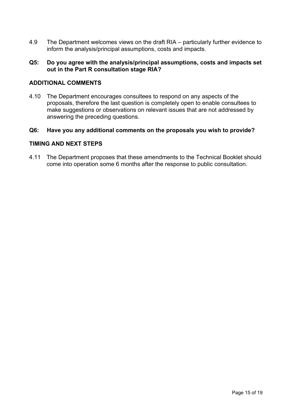4.9 The Department welcomes views on the draft RIA – particularly further evidence to inform the analysis/principal assumptions, costs and impacts.

#### **Q5: Do you agree with the analysis/principal assumptions, costs and impacts set out in the Part R consultation stage RIA?**

#### **ADDITIONAL COMMENTS**

4.10 The Department encourages consultees to respond on any aspects of the proposals, therefore the last question is completely open to enable consultees to make suggestions or observations on relevant issues that are not addressed by answering the preceding questions.

#### **Q6: Have you any additional comments on the proposals you wish to provide?**

#### **TIMING AND NEXT STEPS**

4.11 The Department proposes that these amendments to the Technical Booklet should come into operation some 6 months after the response to public consultation.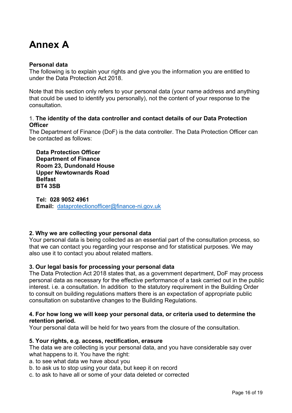# **Annex A**

#### **Personal data**

The following is to explain your rights and give you the information you are entitled to under the Data Protection Act 2018.

Note that this section only refers to your personal data (your name address and anything that could be used to identify you personally), not the content of your response to the consultation.

#### 1. **The identity of the data controller and contact details of our Data Protection Officer**

The Department of Finance (DoF) is the data controller. The Data Protection Officer can be contacted as follows:

**Data Protection Officer Department of Finance Room 23, Dundonald House Upper Newtownards Road Belfast BT4 3SB** 

**Tel: 028 9052 4961 Email:** [dataprotectionofficer@finance-ni.gov.uk](mailto:dataprotectionofficer@finance-ni.gov.uk) 

#### **2. Why we are collecting your personal data**

Your personal data is being collected as an essential part of the consultation process, so that we can contact you regarding your response and for statistical purposes. We may also use it to contact you about related matters.

#### **3. Our legal basis for processing your personal data**

The Data Protection Act 2018 states that, as a government department, DoF may process personal data as necessary for the effective performance of a task carried out in the public interest. i.e. a consultation. In addition to the statutory requirement in the Building Order to consult on building regulations matters there is an expectation of appropriate public consultation on substantive changes to the Building Regulations.

#### **4. For how long we will keep your personal data, or criteria used to determine the retention period.**

Your personal data will be held for two years from the closure of the consultation.

#### **5. Your rights, e.g. access, rectification, erasure**

The data we are collecting is your personal data, and you have considerable say over what happens to it. You have the right:

a. to see what data we have about you

b. to ask us to stop using your data, but keep it on record

c. to ask to have all or some of your data deleted or corrected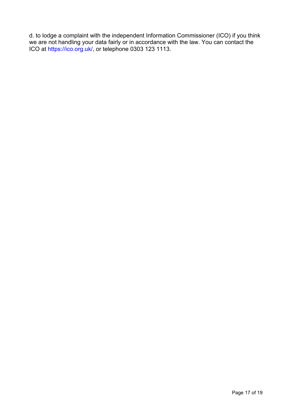d. to lodge a complaint with the independent Information Commissioner (ICO) if you think we are not handling your data fairly or in accordance with the law. You can contact the ICO at [https://ico.org.uk/](https://ico.org.uk), or telephone 0303 123 1113.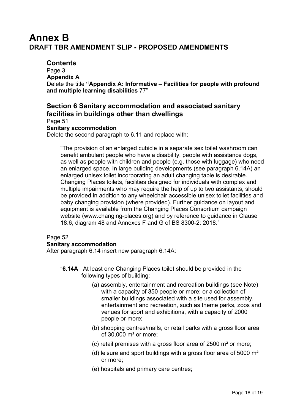# **DRAFT TBR AMENDMENT SLIP - PROPOSED AMENDMENTS Annex B**

## **Contents**

 Delete the title **"Appendix A: Informative – Facilities for people with profound**  Page 3 **Appendix A and multiple learning disabilities** 77"

## **Section 6 Sanitary accommodation and associated sanitary facilities in buildings other than dwellings**

Page 51

#### **Sanitary accommodation**

Delete the second paragraph to 6.11 and replace with:

"The provision of an enlarged cubicle in a separate sex toilet washroom can benefit ambulant people who have a disability, people with assistance dogs, as well as people with children and people (e.g. those with luggage) who need an enlarged space. In large building developments (see paragraph 6.14A) an enlarged unisex toilet incorporating an adult changing table is desirable. Changing Places toilets, facilities designed for individuals with complex and multiple impairments who may require the help of up to two assistants, should be provided in addition to any wheelchair accessible unisex toilet facilities and baby changing provision (where provided). Further guidance on layout and equipment is available from the Changing Places Consortium campaign website [\(www.changing-places.org\)](www.changing-places.org) and by reference to guidance in Clause 18.6, diagram 48 and Annexes F and G of BS 8300-2: 2018."

#### Page 52

#### **Sanitary accommodation**

After paragraph 6.14 insert new paragraph 6.14A:

- "**6.14A** At least one Changing Places toilet should be provided in the following types of building:
	- (a) assembly, entertainment and recreation buildings (see Note) with a capacity of 350 people or more; or a collection of smaller buildings associated with a site used for assembly, entertainment and recreation, such as theme parks, zoos and venues for sport and exhibitions, with a capacity of 2000 people or more;
	- (b) shopping centres/malls, or retail parks with a gross floor area of 30,000 m² or more;
	- (c) retail premises with a gross floor area of 2500  $\text{m}^2$  or more;
	- (d) leisure and sport buildings with a gross floor area of 5000  $\mathrm{m}^2$ or more;
	- (e) hospitals and primary care centres;